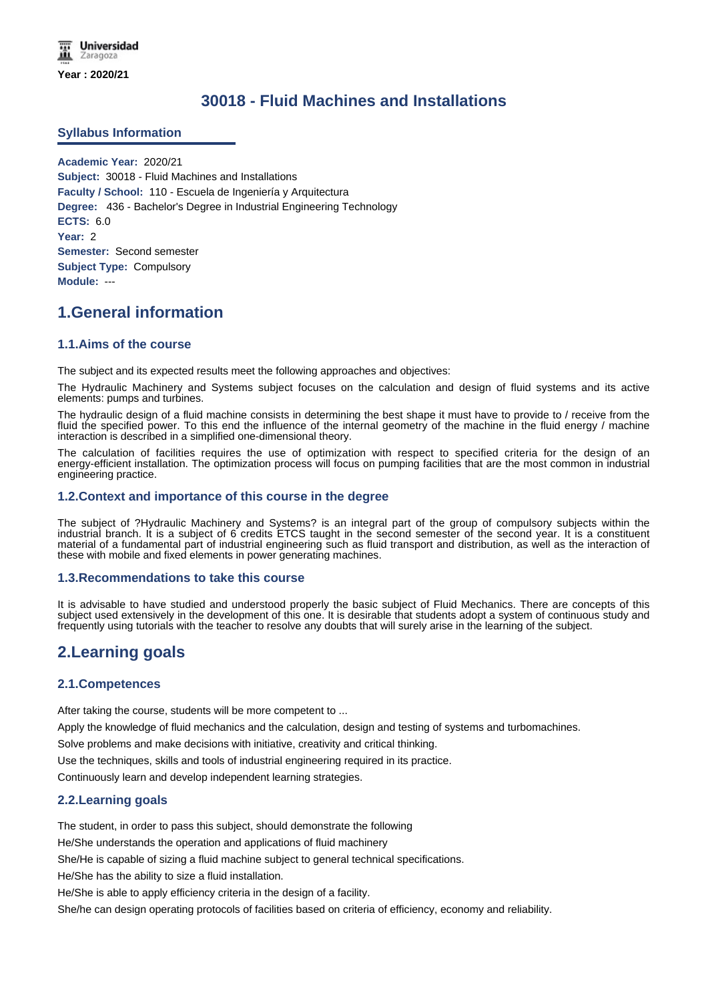# **30018 - Fluid Machines and Installations**

#### **Syllabus Information**

**Academic Year:** 2020/21 **Subject:** 30018 - Fluid Machines and Installations **Faculty / School:** 110 - Escuela de Ingeniería y Arquitectura **Degree:** 436 - Bachelor's Degree in Industrial Engineering Technology **ECTS:** 6.0 **Year:** 2 **Semester:** Second semester **Subject Type:** Compulsory **Module:** ---

# **1.General information**

#### **1.1.Aims of the course**

The subject and its expected results meet the following approaches and objectives:

The Hydraulic Machinery and Systems subject focuses on the calculation and design of fluid systems and its active elements: pumps and turbines.

The hydraulic design of a fluid machine consists in determining the best shape it must have to provide to / receive from the fluid the specified power. To this end the influence of the internal geometry of the machine in the fluid energy / machine interaction is described in a simplified one-dimensional theory.

The calculation of facilities requires the use of optimization with respect to specified criteria for the design of an energy-efficient installation. The optimization process will focus on pumping facilities that are the most common in industrial engineering practice.

#### **1.2.Context and importance of this course in the degree**

The subject of ?Hydraulic Machinery and Systems? is an integral part of the group of compulsory subjects within the industrial branch. It is a subject of 6 credits ETCS taught in the second semester of the second year. It is a constituent material of a fundamental part of industrial engineering such as fluid transport and distribution, as well as the interaction of these with mobile and fixed elements in power generating machines.

#### **1.3.Recommendations to take this course**

It is advisable to have studied and understood properly the basic subject of Fluid Mechanics. There are concepts of this subject used extensively in the development of this one. It is desirable that students adopt a system of continuous study and frequently using tutorials with the teacher to resolve any doubts that will surely arise in the learning of the subject.

# **2.Learning goals**

#### **2.1.Competences**

After taking the course, students will be more competent to ...

Apply the knowledge of fluid mechanics and the calculation, design and testing of systems and turbomachines.

Solve problems and make decisions with initiative, creativity and critical thinking.

Use the techniques, skills and tools of industrial engineering required in its practice.

Continuously learn and develop independent learning strategies.

#### **2.2.Learning goals**

The student, in order to pass this subject, should demonstrate the following

He/She understands the operation and applications of fluid machinery

She/He is capable of sizing a fluid machine subject to general technical specifications.

He/She has the ability to size a fluid installation.

He/She is able to apply efficiency criteria in the design of a facility.

She/he can design operating protocols of facilities based on criteria of efficiency, economy and reliability.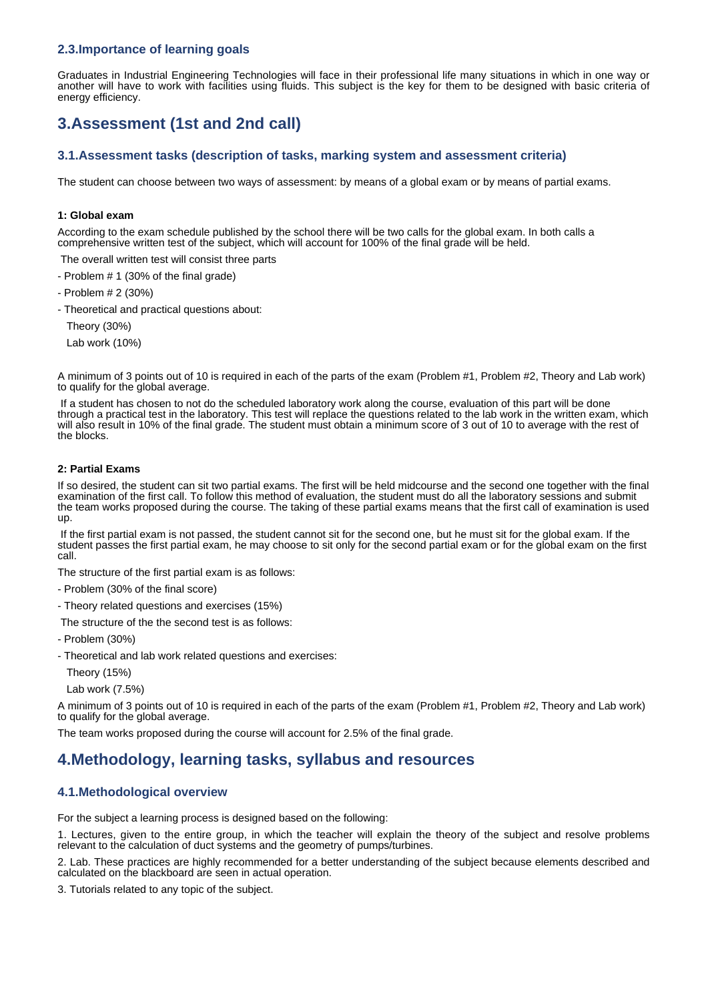## **2.3.Importance of learning goals**

Graduates in Industrial Engineering Technologies will face in their professional life many situations in which in one way or another will have to work with facilities using fluids. This subject is the key for them to be designed with basic criteria of energy efficiency.

# **3.Assessment (1st and 2nd call)**

## **3.1.Assessment tasks (description of tasks, marking system and assessment criteria)**

The student can choose between two ways of assessment: by means of a global exam or by means of partial exams.

#### **1: Global exam**

According to the exam schedule published by the school there will be two calls for the global exam. In both calls a comprehensive written test of the subject, which will account for 100% of the final grade will be held.

The overall written test will consist three parts

- Problem # 1 (30% of the final grade)

- Problem # 2 (30%)

- Theoretical and practical questions about:

Theory (30%)

Lab work (10%)

A minimum of 3 points out of 10 is required in each of the parts of the exam (Problem #1, Problem #2, Theory and Lab work) to qualify for the global average.

If a student has chosen to not do the scheduled laboratory work along the course, evaluation of this part will be done through a practical test in the laboratory. This test will replace the questions related to the lab work in the written exam, which will also result in 10% of the final grade. The student must obtain a minimum score of 3 out of 10 to average with the rest of the blocks.

#### **2: Partial Exams**

If so desired, the student can sit two partial exams. The first will be held midcourse and the second one together with the final examination of the first call. To follow this method of evaluation, the student must do all the laboratory sessions and submit the team works proposed during the course. The taking of these partial exams means that the first call of examination is used up.

If the first partial exam is not passed, the student cannot sit for the second one, but he must sit for the global exam. If the student passes the first partial exam, he may choose to sit only for the second partial exam or for the global exam on the first call.

The structure of the first partial exam is as follows:

- Problem (30% of the final score)
- Theory related questions and exercises (15%)
- The structure of the the second test is as follows:
- Problem (30%)
- Theoretical and lab work related questions and exercises:

Theory (15%)

Lab work (7.5%)

A minimum of 3 points out of 10 is required in each of the parts of the exam (Problem #1, Problem #2, Theory and Lab work) to qualify for the global average.

The team works proposed during the course will account for 2.5% of the final grade.

## **4.Methodology, learning tasks, syllabus and resources**

#### **4.1.Methodological overview**

For the subject a learning process is designed based on the following:

1. Lectures, given to the entire group, in which the teacher will explain the theory of the subject and resolve problems relevant to the calculation of duct systems and the geometry of pumps/turbines.

2. Lab. These practices are highly recommended for a better understanding of the subject because elements described and calculated on the blackboard are seen in actual operation.

3. Tutorials related to any topic of the subject.